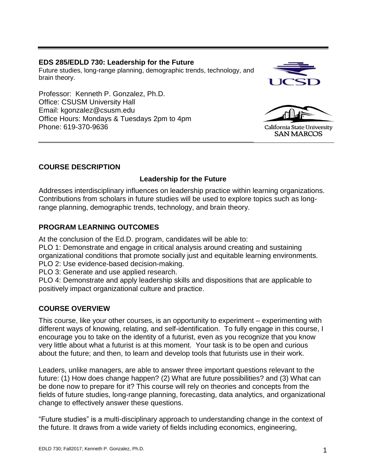### **EDS 285/EDLD 730: Leadership for the Future**

Future studies, long-range planning, demographic trends, technology, and brain theory.

Professor: Kenneth P. Gonzalez, Ph.D. Office: CSUSM University Hall Email: kgonzalez@csusm.edu Office Hours: Mondays & Tuesdays 2pm to 4pm Phone: 619-370-9636





California State University **SAN MARCOS** 

### **COURSE DESCRIPTION**

# **Leadership for the Future**

Addresses interdisciplinary influences on leadership practice within learning organizations. Contributions from scholars in future studies will be used to explore topics such as longrange planning, demographic trends, technology, and brain theory.

## **PROGRAM LEARNING OUTCOMES**

At the conclusion of the Ed.D. program, candidates will be able to:

PLO 1: Demonstrate and engage in critical analysis around creating and sustaining organizational conditions that promote socially just and equitable learning environments. PLO 2: Use evidence-based decision-making.

PLO 3: Generate and use applied research.

PLO 4: Demonstrate and apply leadership skills and dispositions that are applicable to positively impact organizational culture and practice.

# **COURSE OVERVIEW**

This course, like your other courses, is an opportunity to experiment – experimenting with different ways of knowing, relating, and self-identification. To fully engage in this course, I encourage you to take on the identity of a futurist, even as you recognize that you know very little about what a futurist is at this moment. Your task is to be open and curious about the future; and then, to learn and develop tools that futurists use in their work.

Leaders, unlike managers, are able to answer three important questions relevant to the future: (1) How does change happen? (2) What are future possibilities? and (3) What can be done now to prepare for it? This course will rely on theories and concepts from the fields of future studies, long-range planning, forecasting, data analytics, and organizational change to effectively answer these questions.

"Future studies" is a multi-disciplinary approach to understanding change in the context of the future. It draws from a wide variety of fields including economics, engineering,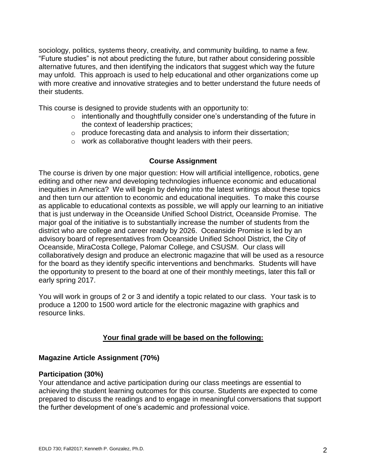sociology, politics, systems theory, creativity, and community building, to name a few. "Future studies" is not about predicting the future, but rather about considering possible alternative futures, and then identifying the indicators that suggest which way the future may unfold. This approach is used to help educational and other organizations come up with more creative and innovative strategies and to better understand the future needs of their students.

This course is designed to provide students with an opportunity to:

- o intentionally and thoughtfully consider one's understanding of the future in the context of leadership practices;
- $\circ$  produce forecasting data and analysis to inform their dissertation;
- o work as collaborative thought leaders with their peers.

#### **Course Assignment**

The course is driven by one major question: How will artificial intelligence, robotics, gene editing and other new and developing technologies influence economic and educational inequities in America? We will begin by delving into the latest writings about these topics and then turn our attention to economic and educational inequities. To make this course as applicable to educational contexts as possible, we will apply our learning to an initiative that is just underway in the Oceanside Unified School District, Oceanside Promise. The major goal of the initiative is to substantially increase the number of students from the district who are college and career ready by 2026. Oceanside Promise is led by an advisory board of representatives from Oceanside Unified School District, the City of Oceanside, MiraCosta College, Palomar College, and CSUSM. Our class will collaboratively design and produce an electronic magazine that will be used as a resource for the board as they identify specific interventions and benchmarks. Students will have the opportunity to present to the board at one of their monthly meetings, later this fall or early spring 2017.

You will work in groups of 2 or 3 and identify a topic related to our class. Your task is to produce a 1200 to 1500 word article for the electronic magazine with graphics and resource links.

### **Your final grade will be based on the following:**

### **Magazine Article Assignment (70%)**

#### **Participation (30%)**

Your attendance and active participation during our class meetings are essential to achieving the student learning outcomes for this course. Students are expected to come prepared to discuss the readings and to engage in meaningful conversations that support the further development of one's academic and professional voice.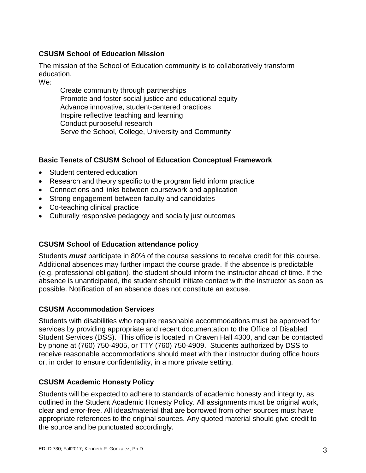### **CSUSM School of Education Mission**

The mission of the School of Education community is to collaboratively transform education.

We:

Create community through partnerships Promote and foster social justice and educational equity Advance innovative, student-centered practices Inspire reflective teaching and learning Conduct purposeful research Serve the School, College, University and Community

# **Basic Tenets of CSUSM School of Education Conceptual Framework**

- Student centered education
- Research and theory specific to the program field inform practice
- Connections and links between coursework and application
- Strong engagement between faculty and candidates
- Co-teaching clinical practice
- Culturally responsive pedagogy and socially just outcomes

### **CSUSM School of Education attendance policy**

Students *must* participate in 80% of the course sessions to receive credit for this course. Additional absences may further impact the course grade. If the absence is predictable (e.g. professional obligation), the student should inform the instructor ahead of time. If the absence is unanticipated, the student should initiate contact with the instructor as soon as possible. Notification of an absence does not constitute an excuse.

### **CSUSM Accommodation Services**

Students with disabilities who require reasonable accommodations must be approved for services by providing appropriate and recent documentation to the Office of Disabled Student Services (DSS). This office is located in Craven Hall 4300, and can be contacted by phone at (760) 750-4905, or TTY (760) 750-4909. Students authorized by DSS to receive reasonable accommodations should meet with their instructor during office hours or, in order to ensure confidentiality, in a more private setting.

# **CSUSM Academic Honesty Policy**

Students will be expected to adhere to standards of academic honesty and integrity, as outlined in the Student Academic Honesty Policy. All assignments must be original work, clear and error-free. All ideas/material that are borrowed from other sources must have appropriate references to the original sources. Any quoted material should give credit to the source and be punctuated accordingly.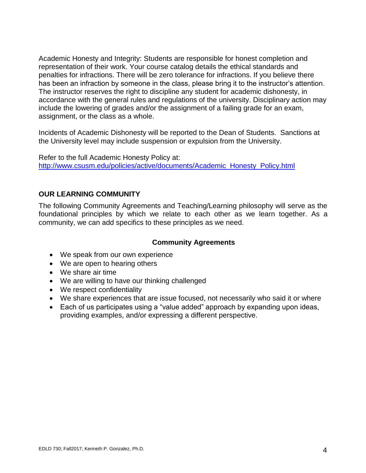Academic Honesty and Integrity: Students are responsible for honest completion and representation of their work. Your course catalog details the ethical standards and penalties for infractions. There will be zero tolerance for infractions. If you believe there has been an infraction by someone in the class, please bring it to the instructor's attention. The instructor reserves the right to discipline any student for academic dishonesty, in accordance with the general rules and regulations of the university. Disciplinary action may include the lowering of grades and/or the assignment of a failing grade for an exam, assignment, or the class as a whole.

Incidents of Academic Dishonesty will be reported to the Dean of Students. Sanctions at the University level may include suspension or expulsion from the University.

Refer to the full Academic Honesty Policy at: [http://www.csusm.edu/policies/active/documents/Academic\\_Honesty\\_Policy.html](http://www.csusm.edu/policies/active/documents/Academic_Honesty_Policy.html)

### **OUR LEARNING COMMUNITY**

The following Community Agreements and Teaching/Learning philosophy will serve as the foundational principles by which we relate to each other as we learn together. As a community, we can add specifics to these principles as we need.

### **Community Agreements**

- We speak from our own experience
- We are open to hearing others
- We share air time
- We are willing to have our thinking challenged
- We respect confidentiality
- We share experiences that are issue focused, not necessarily who said it or where
- Each of us participates using a "value added" approach by expanding upon ideas, providing examples, and/or expressing a different perspective.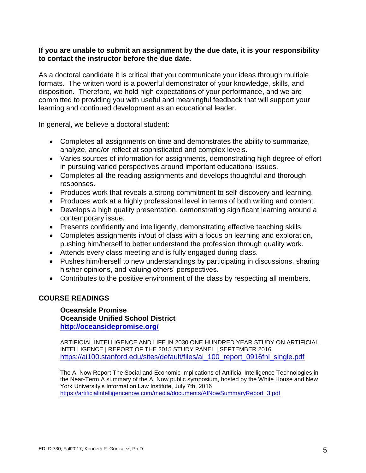#### **If you are unable to submit an assignment by the due date, it is your responsibility to contact the instructor before the due date.**

As a doctoral candidate it is critical that you communicate your ideas through multiple formats. The written word is a powerful demonstrator of your knowledge, skills, and disposition. Therefore, we hold high expectations of your performance, and we are committed to providing you with useful and meaningful feedback that will support your learning and continued development as an educational leader.

In general, we believe a doctoral student:

- Completes all assignments on time and demonstrates the ability to summarize, analyze, and/or reflect at sophisticated and complex levels.
- Varies sources of information for assignments, demonstrating high degree of effort in pursuing varied perspectives around important educational issues.
- Completes all the reading assignments and develops thoughtful and thorough responses.
- Produces work that reveals a strong commitment to self-discovery and learning.
- Produces work at a highly professional level in terms of both writing and content.
- Develops a high quality presentation, demonstrating significant learning around a contemporary issue.
- Presents confidently and intelligently, demonstrating effective teaching skills.
- Completes assignments in/out of class with a focus on learning and exploration, pushing him/herself to better understand the profession through quality work.
- Attends every class meeting and is fully engaged during class.
- Pushes him/herself to new understandings by participating in discussions, sharing his/her opinions, and valuing others' perspectives.
- Contributes to the positive environment of the class by respecting all members.

### **COURSE READINGS**

**Oceanside Promise Oceanside Unified School District <http://oceansidepromise.org/>**

ARTIFICIAL INTELLIGENCE AND LIFE IN 2030 ONE HUNDRED YEAR STUDY ON ARTIFICIAL INTELLIGENCE | REPORT OF THE 2015 STUDY PANEL | SEPTEMBER 2016 [https://ai100.stanford.edu/sites/default/files/ai\\_100\\_report\\_0916fnl\\_single.pdf](https://ai100.stanford.edu/sites/default/files/ai_100_report_0916fnl_single.pdf)

The AI Now Report The Social and Economic Implications of Artificial Intelligence Technologies in the Near-Term A summary of the AI Now public symposium, hosted by the White House and New York University's Information Law Institute, July 7th, 2016 [https://artificialintelligencenow.com/media/documents/AINowSummaryReport\\_3.pdf](https://artificialintelligencenow.com/media/documents/AINowSummaryReport_3.pdf)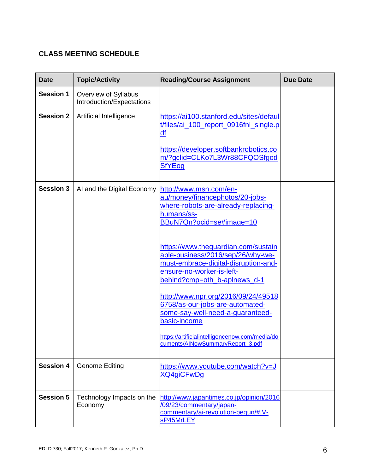# **CLASS MEETING SCHEDULE**

| <b>Date</b>      | <b>Topic/Activity</b>                             | <b>Reading/Course Assignment</b>                                                                                                                                                                                                                                              | <b>Due Date</b> |
|------------------|---------------------------------------------------|-------------------------------------------------------------------------------------------------------------------------------------------------------------------------------------------------------------------------------------------------------------------------------|-----------------|
| <b>Session 1</b> | Overview of Syllabus<br>Introduction/Expectations |                                                                                                                                                                                                                                                                               |                 |
| <b>Session 2</b> | Artificial Intelligence                           | https://ai100.stanford.edu/sites/defaul<br>t/files/ai_100_report_0916fnl_single.p<br>df<br>https://developer.softbankrobotics.co<br>m/?gclid=CLKo7L3Wr88CFQOSfgod<br><b>SfYEog</b>                                                                                            |                 |
| <b>Session 3</b> | AI and the Digital Economy                        | http://www.msn.com/en-<br>au/money/financephotos/20-jobs-<br>where-robots-are-already-replacing-<br>humans/ss-<br>BBuN7Qn?ocid=se#image=10<br>https://www.theguardian.com/sustain<br>able-business/2016/sep/26/why-we-<br>must-embrace-digital-disruption-and-                |                 |
|                  |                                                   | ensure-no-worker-is-left-<br>behind?cmp=oth_b-aplnews_d-1<br>http://www.npr.org/2016/09/24/49518<br>6758/as-our-jobs-are-automated-<br>some-say-well-need-a-guaranteed-<br>basic-income<br>https://artificialintelligencenow.com/media/do<br>cuments/AINowSummaryReport 3.pdf |                 |
| <b>Session 4</b> | <b>Genome Editing</b>                             | https://www.youtube.com/watch?v=J<br><b>XQ4giCFwDg</b>                                                                                                                                                                                                                        |                 |
| <b>Session 5</b> | Technology Impacts on the<br>Economy              | http://www.japantimes.co.jp/opinion/2016<br>/09/23/commentary/japan-<br>commentary/ai-revolution-begun/#.V-<br>sP45MrLEY                                                                                                                                                      |                 |